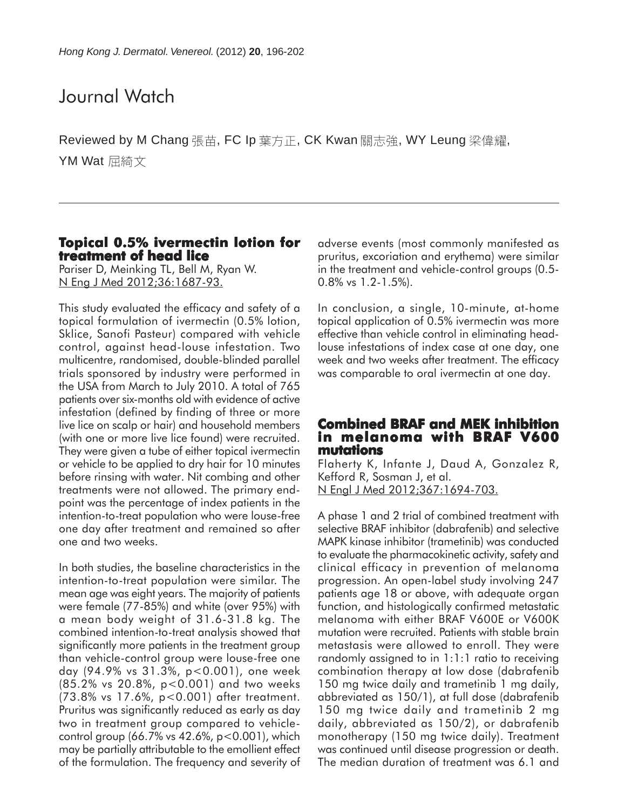### Journal Watch

Reviewed by M Chang 張苗, FC Ip 葉方正, CK Kwan 關志強, WY Leung 梁偉耀, YM Wat 屈綺文

#### **Topical 0.5% ivermectin lotion for treatment of head lice**

Pariser D, Meinking TL, Bell M, Ryan W. N Eng J Med 2012;36:1687-93.

This study evaluated the efficacy and safety of a topical formulation of ivermectin (0.5% lotion, Sklice, Sanofi Pasteur) compared with vehicle control, against head-louse infestation. Two multicentre, randomised, double-blinded parallel trials sponsored by industry were performed in the USA from March to July 2010. A total of 765 patients over six-months old with evidence of active infestation (defined by finding of three or more live lice on scalp or hair) and household members (with one or more live lice found) were recruited. They were given a tube of either topical ivermectin or vehicle to be applied to dry hair for 10 minutes before rinsing with water. Nit combing and other treatments were not allowed. The primary endpoint was the percentage of index patients in the intention-to-treat population who were louse-free one day after treatment and remained so after one and two weeks.

In both studies, the baseline characteristics in the intention-to-treat population were similar. The mean age was eight years. The majority of patients were female (77-85%) and white (over 95%) with a mean body weight of 31.6-31.8 kg. The combined intention-to-treat analysis showed that significantly more patients in the treatment group than vehicle-control group were louse-free one day (94.9% vs 31.3%, p<0.001), one week (85.2% vs 20.8%, p<0.001) and two weeks (73.8% vs 17.6%, p<0.001) after treatment. Pruritus was significantly reduced as early as day two in treatment group compared to vehiclecontrol group (66.7% vs 42.6%, p<0.001), which may be partially attributable to the emollient effect of the formulation. The frequency and severity of adverse events (most commonly manifested as pruritus, excoriation and erythema) were similar in the treatment and vehicle-control groups (0.5- 0.8% vs 1.2-1.5%).

In conclusion, a single, 10-minute, at-home topical application of 0.5% ivermectin was more effective than vehicle control in eliminating headlouse infestations of index case at one day, one week and two weeks after treatment. The efficacy was comparable to oral ivermectin at one day.

#### **Combined BRAF and MEK inhibition in melanoma with BRAF V600 mutations**

Flaherty K, Infante J, Daud A, Gonzalez R, Kefford R, Sosman J, et al. N Engl J Med 2012;367:1694-703.

A phase 1 and 2 trial of combined treatment with selective BRAF inhibitor (dabrafenib) and selective MAPK kinase inhibitor (trametinib) was conducted to evaluate the pharmacokinetic activity, safety and clinical efficacy in prevention of melanoma progression. An open-label study involving 247 patients age 18 or above, with adequate organ function, and histologically confirmed metastatic melanoma with either BRAF V600E or V600K mutation were recruited. Patients with stable brain metastasis were allowed to enroll. They were randomly assigned to in 1:1:1 ratio to receiving combination therapy at low dose (dabrafenib 150 mg twice daily and trametinib 1 mg daily, abbreviated as 150/1), at full dose (dabrafenib 150 mg twice daily and trametinib 2 mg daily, abbreviated as 150/2), or dabrafenib monotherapy (150 mg twice daily). Treatment was continued until disease progression or death. The median duration of treatment was 6.1 and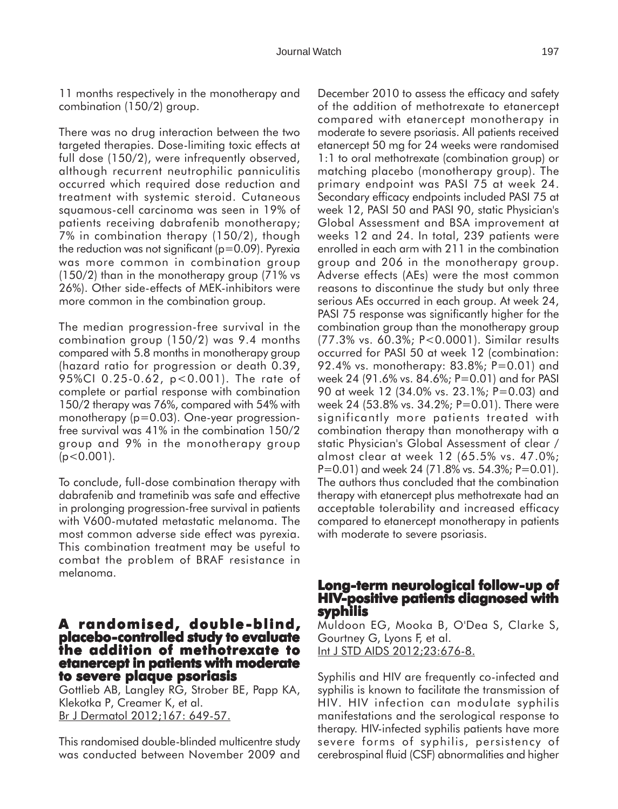11 months respectively in the monotherapy and combination (150/2) group.

There was no drug interaction between the two targeted therapies. Dose-limiting toxic effects at full dose (150/2), were infrequently observed, although recurrent neutrophilic panniculitis occurred which required dose reduction and treatment with systemic steroid. Cutaneous squamous-cell carcinoma was seen in 19% of patients receiving dabrafenib monotherapy; 7% in combination therapy (150/2), though the reduction was not significant ( $p=0.09$ ). Pyrexia was more common in combination group (150/2) than in the monotherapy group (71% vs 26%). Other side-effects of MEK-inhibitors were more common in the combination group.

The median progression-free survival in the combination group (150/2) was 9.4 months compared with 5.8 months in monotherapy group (hazard ratio for progression or death 0.39, 95%CI 0.25-0.62, p<0.001). The rate of complete or partial response with combination 150/2 therapy was 76%, compared with 54% with monotherapy (p=0.03). One-year progressionfree survival was 41% in the combination 150/2 group and 9% in the monotherapy group  $(p<0.001)$ .

To conclude, full-dose combination therapy with dabrafenib and trametinib was safe and effective in prolonging progression-free survival in patients with V600-mutated metastatic melanoma. The most common adverse side effect was pyrexia. This combination treatment may be useful to combat the problem of BRAF resistance in melanoma.

### **A randomised, double-blind, -blind, placebo-controlled study to evaluate the addition of methotrexate to etanercept in patients with moderate to severe plaque psoriasis**

Gottlieb AB, Langley RG, Strober BE, Papp KA, Klekotka P, Creamer K, et al. Br J Dermatol 2012;167: 649-57.

This randomised double-blinded multicentre study was conducted between November 2009 and December 2010 to assess the efficacy and safety of the addition of methotrexate to etanercept compared with etanercept monotherapy in moderate to severe psoriasis. All patients received etanercept 50 mg for 24 weeks were randomised 1:1 to oral methotrexate (combination group) or matching placebo (monotherapy group). The primary endpoint was PASI 75 at week 24. Secondary efficacy endpoints included PASI 75 at week 12, PASI 50 and PASI 90, static Physician's Global Assessment and BSA improvement at weeks 12 and 24. In total, 239 patients were enrolled in each arm with 211 in the combination group and 206 in the monotherapy group. Adverse effects (AEs) were the most common reasons to discontinue the study but only three serious AEs occurred in each group. At week 24, PASI 75 response was significantly higher for the combination group than the monotherapy group (77.3% vs. 60.3%; P<0.0001). Similar results occurred for PASI 50 at week 12 (combination: 92.4% vs. monotherapy: 83.8%; P=0.01) and week 24 (91.6% vs. 84.6%; P=0.01) and for PASI 90 at week 12 (34.0% vs. 23.1%; P=0.03) and week 24 (53.8% vs. 34.2%; P=0.01). There were significantly more patients treated with combination therapy than monotherapy with a static Physician's Global Assessment of clear / almost clear at week 12 (65.5% vs. 47.0%; P=0.01) and week 24 (71.8% vs. 54.3%; P=0.01). The authors thus concluded that the combination therapy with etanercept plus methotrexate had an acceptable tolerability and increased efficacy compared to etanercept monotherapy in patients with moderate to severe psoriasis.

## **Long-term neurological follow-up of HIV-positive patients diagnosed with syphilis**

Muldoon EG, Mooka B, O'Dea S, Clarke S, Gourtney G, Lyons F, et al. Int J STD AIDS 2012;23:676-8.

Syphilis and HIV are frequently co-infected and syphilis is known to facilitate the transmission of HIV. HIV infection can modulate syphilis manifestations and the serological response to therapy. HIV-infected syphilis patients have more severe forms of syphilis, persistency of cerebrospinal fluid (CSF) abnormalities and higher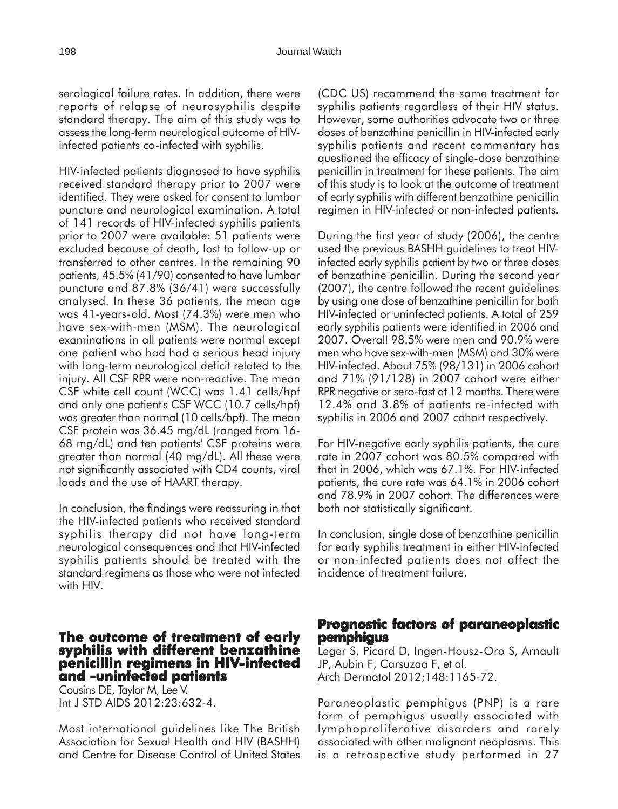serological failure rates. In addition, there were reports of relapse of neurosyphilis despite standard therapy. The aim of this study was to assess the long-term neurological outcome of HIVinfected patients co-infected with syphilis.

HIV-infected patients diagnosed to have syphilis received standard therapy prior to 2007 were identified. They were asked for consent to lumbar puncture and neurological examination. A total of 141 records of HIV-infected syphilis patients prior to 2007 were available: 51 patients were excluded because of death, lost to follow-up or transferred to other centres. In the remaining 90 patients, 45.5% (41/90) consented to have lumbar puncture and 87.8% (36/41) were successfully analysed. In these 36 patients, the mean age was 41-years-old. Most (74.3%) were men who have sex-with-men (MSM). The neurological examinations in all patients were normal except one patient who had had a serious head injury with long-term neurological deficit related to the injury. All CSF RPR were non-reactive. The mean CSF white cell count (WCC) was 1.41 cells/hpf and only one patient's CSF WCC (10.7 cells/hpf) was greater than normal (10 cells/hpf). The mean CSF protein was 36.45 mg/dL (ranged from 16- 68 mg/dL) and ten patients' CSF proteins were greater than normal (40 mg/dL). All these were not significantly associated with CD4 counts, viral loads and the use of HAART therapy.

In conclusion, the findings were reassuring in that the HIV-infected patients who received standard syphilis therapy did not have long-term neurological consequences and that HIV-infected syphilis patients should be treated with the standard regimens as those who were not infected with HIV.

#### **The outcome of treatment of early syphilis with different benzathine penicillin regimens in HIV-infected and -uninfected patients**

Cousins DE, Taylor M, Lee V. Int J STD AIDS 2012:23:632-4.

Most international guidelines like The British Association for Sexual Health and HIV (BASHH) and Centre for Disease Control of United States (CDC US) recommend the same treatment for syphilis patients regardless of their HIV status. However, some authorities advocate two or three doses of benzathine penicillin in HIV-infected early syphilis patients and recent commentary has questioned the efficacy of single-dose benzathine penicillin in treatment for these patients. The aim of this study is to look at the outcome of treatment of early syphilis with different benzathine penicillin regimen in HIV-infected or non-infected patients.

During the first year of study (2006), the centre used the previous BASHH guidelines to treat HIVinfected early syphilis patient by two or three doses of benzathine penicillin. During the second year (2007), the centre followed the recent guidelines by using one dose of benzathine penicillin for both HIV-infected or uninfected patients. A total of 259 early syphilis patients were identified in 2006 and 2007. Overall 98.5% were men and 90.9% were men who have sex-with-men (MSM) and 30% were HIV-infected. About 75% (98/131) in 2006 cohort and 71% (91/128) in 2007 cohort were either RPR negative or sero-fast at 12 months. There were 12.4% and 3.8% of patients re-infected with syphilis in 2006 and 2007 cohort respectively.

For HIV-negative early syphilis patients, the cure rate in 2007 cohort was 80.5% compared with that in 2006, which was 67.1%. For HIV-infected patients, the cure rate was 64.1% in 2006 cohort and 78.9% in 2007 cohort. The differences were both not statistically significant.

In conclusion, single dose of benzathine penicillin for early syphilis treatment in either HIV-infected or non-infected patients does not affect the incidence of treatment failure.

#### **Prognostic factors of paraneoplastic pemphigus**

Leger S, Picard D, Ingen-Housz-Oro S, Arnault JP, Aubin F, Carsuzaa F, et al. Arch Dermatol 2012;148:1165-72.

Paraneoplastic pemphigus (PNP) is a rare form of pemphigus usually associated with lymphoproliferative disorders and rarely associated with other malignant neoplasms. This is a retrospective study performed in 27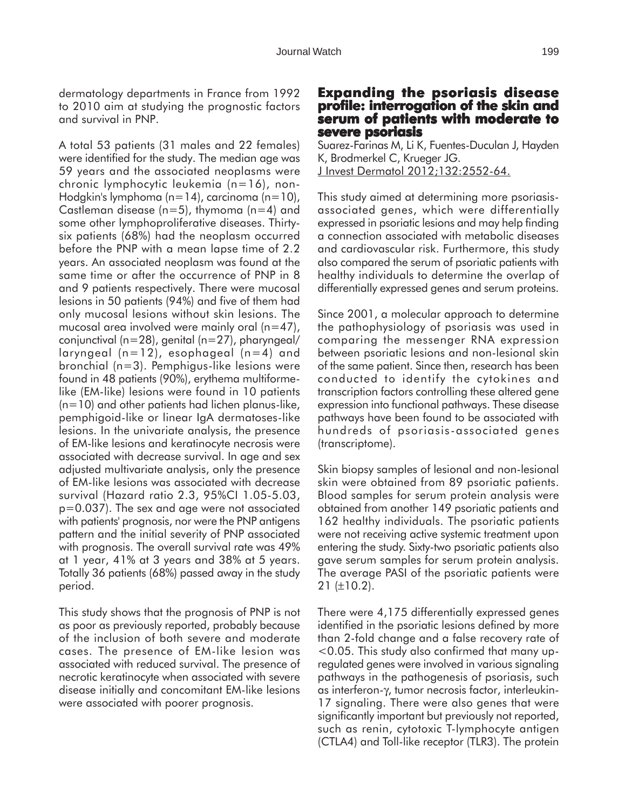dermatology departments in France from 1992 to 2010 aim at studying the prognostic factors and survival in PNP.

A total 53 patients (31 males and 22 females) were identified for the study. The median age was 59 years and the associated neoplasms were chronic lymphocytic leukemia (n=16), non-Hodgkin's lymphoma (n=14), carcinoma (n=10), Castleman disease ( $n=5$ ), thymoma ( $n=4$ ) and some other lymphoproliferative diseases. Thirtysix patients (68%) had the neoplasm occurred before the PNP with a mean lapse time of 2.2 years. An associated neoplasm was found at the same time or after the occurrence of PNP in 8 and 9 patients respectively. There were mucosal lesions in 50 patients (94%) and five of them had only mucosal lesions without skin lesions. The mucosal area involved were mainly oral  $(n=47)$ , conjunctival (n=28), genital (n=27), pharyngeal/ laryngeal (n=12), esophageal (n=4) and bronchial (n=3). Pemphigus-like lesions were found in 48 patients (90%), erythema multiformelike (EM-like) lesions were found in 10 patients (n=10) and other patients had lichen planus-like, pemphigoid-like or linear IgA dermatoses-like lesions. In the univariate analysis, the presence of EM-like lesions and keratinocyte necrosis were associated with decrease survival. In age and sex adjusted multivariate analysis, only the presence of EM-like lesions was associated with decrease survival (Hazard ratio 2.3, 95%CI 1.05-5.03, p=0.037). The sex and age were not associated with patients' prognosis, nor were the PNP antigens pattern and the initial severity of PNP associated with prognosis. The overall survival rate was 49% at 1 year, 41% at 3 years and 38% at 5 years. Totally 36 patients (68%) passed away in the study period.

This study shows that the prognosis of PNP is not as poor as previously reported, probably because of the inclusion of both severe and moderate cases. The presence of EM-like lesion was associated with reduced survival. The presence of necrotic keratinocyte when associated with severe disease initially and concomitant EM-like lesions were associated with poorer prognosis.

#### **Expanding the psoriasis disease profile: interrogation of the skin and serum of patients with moderate to severe psoriasis**

Suarez-Farinas M, Li K, Fuentes-Duculan J, Hayden K, Brodmerkel C, Krueger JG. J Invest Dermatol 2012;132:2552-64.

This study aimed at determining more psoriasisassociated genes, which were differentially expressed in psoriatic lesions and may help finding a connection associated with metabolic diseases and cardiovascular risk. Furthermore, this study also compared the serum of psoriatic patients with healthy individuals to determine the overlap of differentially expressed genes and serum proteins.

Since 2001, a molecular approach to determine the pathophysiology of psoriasis was used in comparing the messenger RNA expression between psoriatic lesions and non-lesional skin of the same patient. Since then, research has been conducted to identify the cytokines and transcription factors controlling these altered gene expression into functional pathways. These disease pathways have been found to be associated with hundreds of psoriasis-associated genes (transcriptome).

Skin biopsy samples of lesional and non-lesional skin were obtained from 89 psoriatic patients. Blood samples for serum protein analysis were obtained from another 149 psoriatic patients and 162 healthy individuals. The psoriatic patients were not receiving active systemic treatment upon entering the study. Sixty-two psoriatic patients also gave serum samples for serum protein analysis. The average PASI of the psoriatic patients were  $21$  ( $\pm$ 10.2).

There were 4,175 differentially expressed genes identified in the psoriatic lesions defined by more than 2-fold change and a false recovery rate of <0.05. This study also confirmed that many upregulated genes were involved in various signaling pathways in the pathogenesis of psoriasis, such as interferon-γ, tumor necrosis factor, interleukin-17 signaling. There were also genes that were significantly important but previously not reported, such as renin, cytotoxic T-lymphocyte antigen (CTLA4) and Toll-like receptor (TLR3). The protein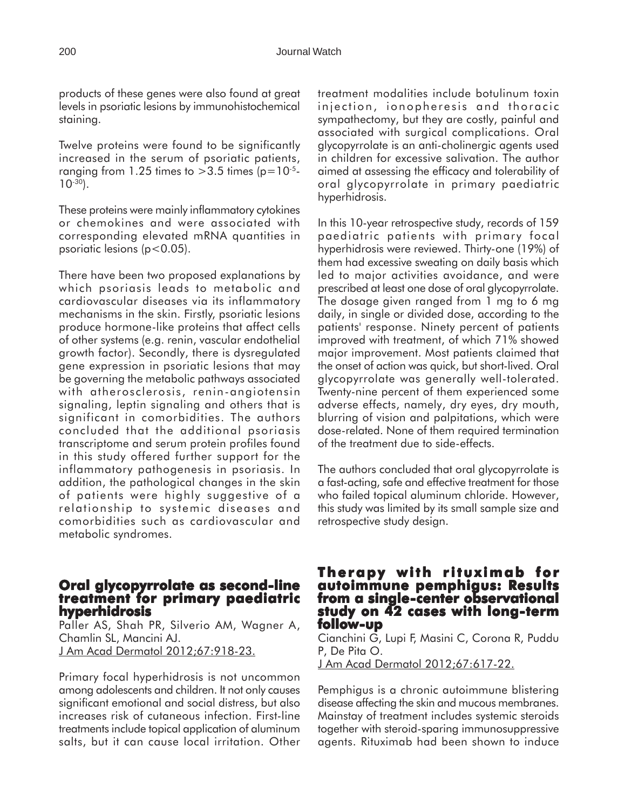products of these genes were also found at great levels in psoriatic lesions by immunohistochemical staining.

Twelve proteins were found to be significantly increased in the serum of psoriatic patients, ranging from 1.25 times to  $>3.5$  times (p=10<sup>-5</sup>- $10^{-30}$ ).

These proteins were mainly inflammatory cytokines or chemokines and were associated with corresponding elevated mRNA quantities in psoriatic lesions (p<0.05).

There have been two proposed explanations by which psoriasis leads to metabolic and cardiovascular diseases via its inflammatory mechanisms in the skin. Firstly, psoriatic lesions produce hormone-like proteins that affect cells of other systems (e.g. renin, vascular endothelial growth factor). Secondly, there is dysregulated gene expression in psoriatic lesions that may be governing the metabolic pathways associated with atherosclerosis, renin-angiotensin signaling, leptin signaling and others that is significant in comorbidities. The authors concluded that the additional psoriasis transcriptome and serum protein profiles found in this study offered further support for the inflammatory pathogenesis in psoriasis. In addition, the pathological changes in the skin of patients were highly suggestive of a relationship to systemic diseases and comorbidities such as cardiovascular and metabolic syndromes.

#### **Oral glycopyrrolate as second-line treatment for primary paediatric hyperhidrosis**

Paller AS, Shah PR, Silverio AM, Wagner A, Chamlin SL, Mancini AJ. J Am Acad Dermatol 2012;67:918-23.

Primary focal hyperhidrosis is not uncommon among adolescents and children. It not only causes significant emotional and social distress, but also increases risk of cutaneous infection. First-line treatments include topical application of aluminum salts, but it can cause local irritation. Other treatment modalities include botulinum toxin injection, ionopheresis and thoracic sympathectomy, but they are costly, painful and associated with surgical complications. Oral glycopyrrolate is an anti-cholinergic agents used in children for excessive salivation. The author aimed at assessing the efficacy and tolerability of oral glycopyrrolate in primary paediatric hyperhidrosis.

In this 10-year retrospective study, records of 159 paediatric patients with primary focal hyperhidrosis were reviewed. Thirty-one (19%) of them had excessive sweating on daily basis which led to major activities avoidance, and were prescribed at least one dose of oral glycopyrrolate. The dosage given ranged from 1 mg to 6 mg daily, in single or divided dose, according to the patients' response. Ninety percent of patients improved with treatment, of which 71% showed major improvement. Most patients claimed that the onset of action was quick, but short-lived. Oral glycopyrrolate was generally well-tolerated. Twenty-nine percent of them experienced some adverse effects, namely, dry eyes, dry mouth, blurring of vision and palpitations, which were dose-related. None of them required termination of the treatment due to side-effects.

The authors concluded that oral glycopyrrolate is a fast-acting, safe and effective treatment for those who failed topical aluminum chloride. However, this study was limited by its small sample size and retrospective study design.

#### **Therapy with rituximab for autoimmune pemphigus: Results from a single-center observational center observational study on 42 cases with long-term follow-up**

Cianchini G, Lupi F, Masini C, Corona R, Puddu P, De Pita O.

J Am Acad Dermatol 2012;67:617-22.

Pemphigus is a chronic autoimmune blistering disease affecting the skin and mucous membranes. Mainstay of treatment includes systemic steroids together with steroid-sparing immunosuppressive agents. Rituximab had been shown to induce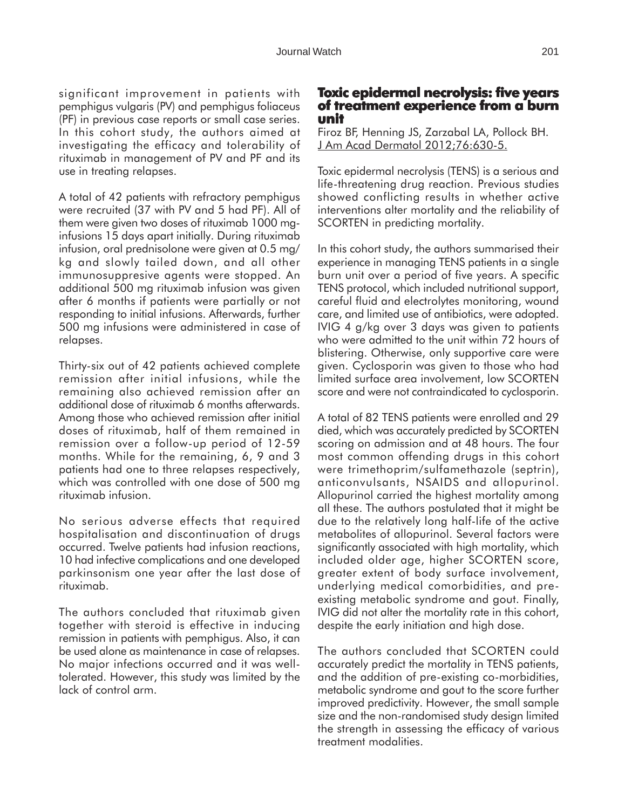significant improvement in patients with pemphigus vulgaris (PV) and pemphigus foliaceus (PF) in previous case reports or small case series. In this cohort study, the authors aimed at investigating the efficacy and tolerability of rituximab in management of PV and PF and its use in treating relapses.

A total of 42 patients with refractory pemphigus were recruited (37 with PV and 5 had PF). All of them were given two doses of rituximab 1000 mginfusions 15 days apart initially. During rituximab infusion, oral prednisolone were given at 0.5 mg/ kg and slowly tailed down, and all other immunosuppresive agents were stopped. An additional 500 mg rituximab infusion was given after 6 months if patients were partially or not responding to initial infusions. Afterwards, further 500 mg infusions were administered in case of relapses.

Thirty-six out of 42 patients achieved complete remission after initial infusions, while the remaining also achieved remission after an additional dose of rituximab 6 months afterwards. Among those who achieved remission after initial doses of rituximab, half of them remained in remission over a follow-up period of 12-59 months. While for the remaining, 6, 9 and 3 patients had one to three relapses respectively, which was controlled with one dose of 500 mg rituximab infusion.

No serious adverse effects that required hospitalisation and discontinuation of drugs occurred. Twelve patients had infusion reactions, 10 had infective complications and one developed parkinsonism one year after the last dose of rituximab.

The authors concluded that rituximab given together with steroid is effective in inducing remission in patients with pemphigus. Also, it can be used alone as maintenance in case of relapses. No major infections occurred and it was welltolerated. However, this study was limited by the lack of control arm.

# **Toxic epidermal necrolysis: five years of treatment experience from a burn unit**

Firoz BF, Henning JS, Zarzabal LA, Pollock BH. J Am Acad Dermatol 2012;76:630-5.

Toxic epidermal necrolysis (TENS) is a serious and life-threatening drug reaction. Previous studies showed conflicting results in whether active interventions alter mortality and the reliability of SCORTEN in predicting mortality.

In this cohort study, the authors summarised their experience in managing TENS patients in a single burn unit over a period of five years. A specific TENS protocol, which included nutritional support, careful fluid and electrolytes monitoring, wound care, and limited use of antibiotics, were adopted. IVIG 4 g/kg over 3 days was given to patients who were admitted to the unit within 72 hours of blistering. Otherwise, only supportive care were given. Cyclosporin was given to those who had limited surface area involvement, low SCORTEN score and were not contraindicated to cyclosporin.

A total of 82 TENS patients were enrolled and 29 died, which was accurately predicted by SCORTEN scoring on admission and at 48 hours. The four most common offending drugs in this cohort were trimethoprim/sulfamethazole (septrin), anticonvulsants, NSAIDS and allopurinol. Allopurinol carried the highest mortality among all these. The authors postulated that it might be due to the relatively long half-life of the active metabolites of allopurinol. Several factors were significantly associated with high mortality, which included older age, higher SCORTEN score, greater extent of body surface involvement, underlying medical comorbidities, and preexisting metabolic syndrome and gout. Finally, IVIG did not alter the mortality rate in this cohort, despite the early initiation and high dose.

The authors concluded that SCORTEN could accurately predict the mortality in TENS patients, and the addition of pre-existing co-morbidities, metabolic syndrome and gout to the score further improved predictivity. However, the small sample size and the non-randomised study design limited the strength in assessing the efficacy of various treatment modalities.